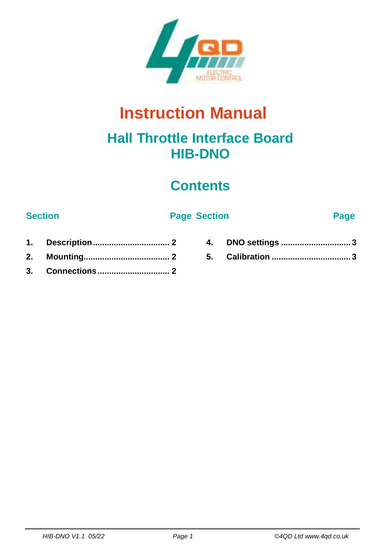

# **Instruction Manual**

### **Hall Throttle Interface Board HIB-DNO**

## **Contents**

#### **Section Page Section Page**

- **1. [Description.................................](#page-1-0) 2 2. [Mounting.....................................](#page-1-1) 2**
- **3. [Connections...............................](#page-1-2) 2**
- **4. DNO settings [..............................](#page-2-0) 3 5. Calibration [..................................](#page-2-1) 3**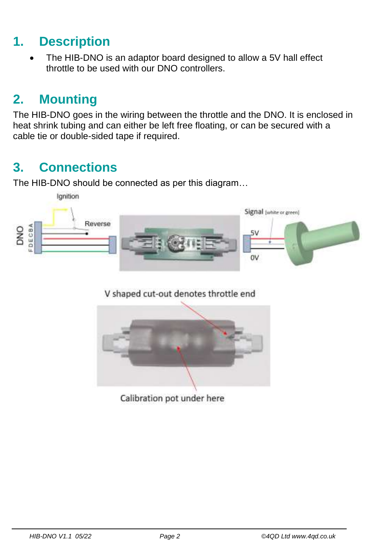#### <span id="page-1-0"></span>**1. Description**

• The HIB-DNO is an adaptor board designed to allow a 5V hall effect throttle to be used with our DNO controllers.

### <span id="page-1-1"></span>**2. Mounting**

The HIB-DNO goes in the wiring between the throttle and the DNO. It is enclosed in heat shrink tubing and can either be left free floating, or can be secured with a cable tie or double-sided tape if required.

#### <span id="page-1-2"></span>**3. Connections**

The HIB-DNO should be connected as per this diagram…



V shaped cut-out denotes throttle end



Calibration pot under here